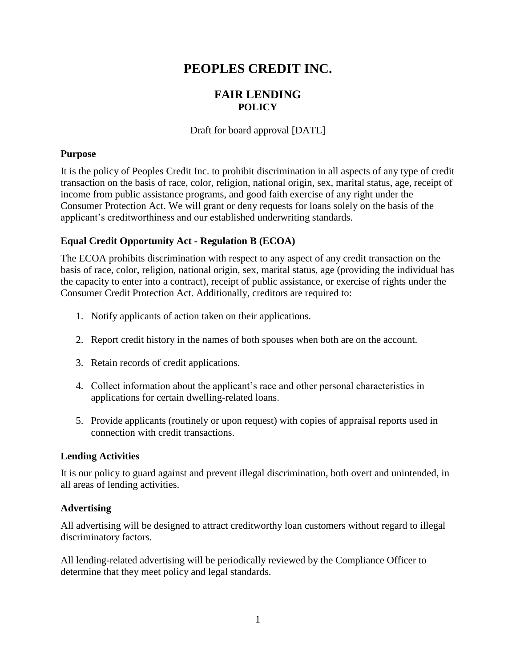# **PEOPLES CREDIT INC.**

## **FAIR LENDING POLICY**

Draft for board approval [DATE]

#### **Purpose**

It is the policy of Peoples Credit Inc. to prohibit discrimination in all aspects of any type of credit transaction on the basis of race, color, religion, national origin, sex, marital status, age, receipt of income from public assistance programs, and good faith exercise of any right under the Consumer Protection Act. We will grant or deny requests for loans solely on the basis of the applicant's creditworthiness and our established underwriting standards.

### **Equal Credit Opportunity Act - Regulation B (ECOA)**

The ECOA prohibits discrimination with respect to any aspect of any credit transaction on the basis of race, color, religion, national origin, sex, marital status, age (providing the individual has the capacity to enter into a contract), receipt of public assistance, or exercise of rights under the Consumer Credit Protection Act. Additionally, creditors are required to:

- 1. Notify applicants of action taken on their applications.
- 2. Report credit history in the names of both spouses when both are on the account.
- 3. Retain records of credit applications.
- 4. Collect information about the applicant's race and other personal characteristics in applications for certain dwelling-related loans.
- 5. Provide applicants (routinely or upon request) with copies of appraisal reports used in connection with credit transactions.

#### **Lending Activities**

It is our policy to guard against and prevent illegal discrimination, both overt and unintended, in all areas of lending activities.

#### **Advertising**

All advertising will be designed to attract creditworthy loan customers without regard to illegal discriminatory factors.

All lending-related advertising will be periodically reviewed by the Compliance Officer to determine that they meet policy and legal standards.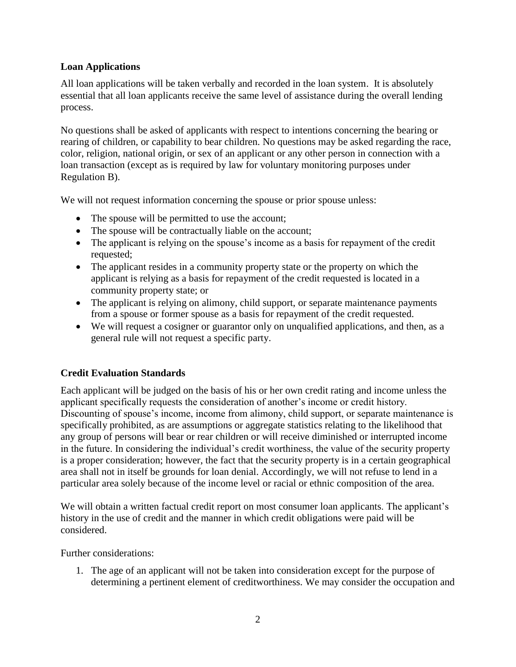#### **Loan Applications**

All loan applications will be taken verbally and recorded in the loan system. It is absolutely essential that all loan applicants receive the same level of assistance during the overall lending process.

No questions shall be asked of applicants with respect to intentions concerning the bearing or rearing of children, or capability to bear children. No questions may be asked regarding the race, color, religion, national origin, or sex of an applicant or any other person in connection with a loan transaction (except as is required by law for voluntary monitoring purposes under Regulation B).

We will not request information concerning the spouse or prior spouse unless:

- The spouse will be permitted to use the account;
- The spouse will be contractually liable on the account;
- The applicant is relying on the spouse's income as a basis for repayment of the credit requested;
- The applicant resides in a community property state or the property on which the applicant is relying as a basis for repayment of the credit requested is located in a community property state; or
- The applicant is relying on alimony, child support, or separate maintenance payments from a spouse or former spouse as a basis for repayment of the credit requested.
- We will request a cosigner or guarantor only on unqualified applications, and then, as a general rule will not request a specific party.

## **Credit Evaluation Standards**

Each applicant will be judged on the basis of his or her own credit rating and income unless the applicant specifically requests the consideration of another's income or credit history. Discounting of spouse's income, income from alimony, child support, or separate maintenance is specifically prohibited, as are assumptions or aggregate statistics relating to the likelihood that any group of persons will bear or rear children or will receive diminished or interrupted income in the future. In considering the individual's credit worthiness, the value of the security property is a proper consideration; however, the fact that the security property is in a certain geographical area shall not in itself be grounds for loan denial. Accordingly, we will not refuse to lend in a particular area solely because of the income level or racial or ethnic composition of the area.

We will obtain a written factual credit report on most consumer loan applicants. The applicant's history in the use of credit and the manner in which credit obligations were paid will be considered.

Further considerations:

1. The age of an applicant will not be taken into consideration except for the purpose of determining a pertinent element of creditworthiness. We may consider the occupation and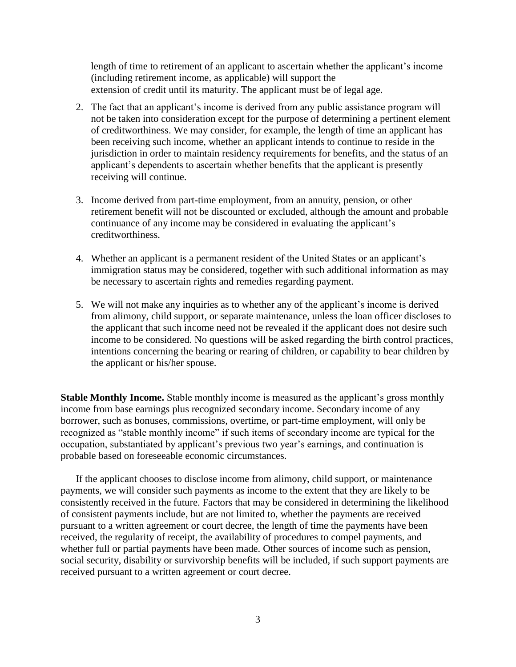length of time to retirement of an applicant to ascertain whether the applicant's income (including retirement income, as applicable) will support the extension of credit until its maturity. The applicant must be of legal age.

- 2. The fact that an applicant's income is derived from any public assistance program will not be taken into consideration except for the purpose of determining a pertinent element of creditworthiness. We may consider, for example, the length of time an applicant has been receiving such income, whether an applicant intends to continue to reside in the jurisdiction in order to maintain residency requirements for benefits, and the status of an applicant's dependents to ascertain whether benefits that the applicant is presently receiving will continue.
- 3. Income derived from part-time employment, from an annuity, pension, or other retirement benefit will not be discounted or excluded, although the amount and probable continuance of any income may be considered in evaluating the applicant's creditworthiness.
- 4. Whether an applicant is a permanent resident of the United States or an applicant's immigration status may be considered, together with such additional information as may be necessary to ascertain rights and remedies regarding payment.
- 5. We will not make any inquiries as to whether any of the applicant's income is derived from alimony, child support, or separate maintenance, unless the loan officer discloses to the applicant that such income need not be revealed if the applicant does not desire such income to be considered. No questions will be asked regarding the birth control practices, intentions concerning the bearing or rearing of children, or capability to bear children by the applicant or his/her spouse.

**Stable Monthly Income.** Stable monthly income is measured as the applicant's gross monthly income from base earnings plus recognized secondary income. Secondary income of any borrower, such as bonuses, commissions, overtime, or part-time employment, will only be recognized as "stable monthly income" if such items of secondary income are typical for the occupation, substantiated by applicant's previous two year's earnings, and continuation is probable based on foreseeable economic circumstances.

If the applicant chooses to disclose income from alimony, child support, or maintenance payments, we will consider such payments as income to the extent that they are likely to be consistently received in the future. Factors that may be considered in determining the likelihood of consistent payments include, but are not limited to, whether the payments are received pursuant to a written agreement or court decree, the length of time the payments have been received, the regularity of receipt, the availability of procedures to compel payments, and whether full or partial payments have been made. Other sources of income such as pension, social security, disability or survivorship benefits will be included, if such support payments are received pursuant to a written agreement or court decree.